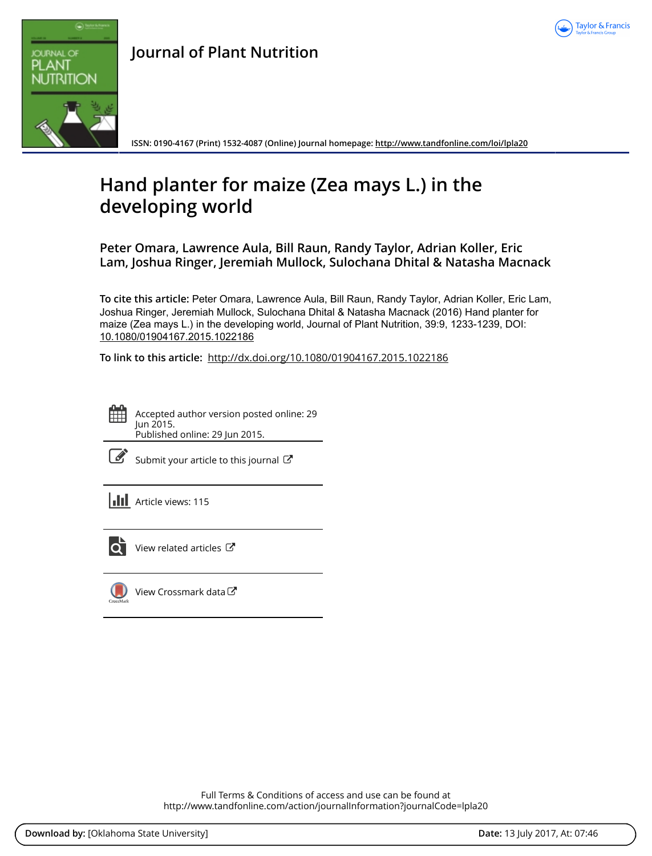



**Journal of Plant Nutrition**

**ISSN: 0190-4167 (Print) 1532-4087 (Online) Journal homepage:<http://www.tandfonline.com/loi/lpla20>**

# **Hand planter for maize (Zea mays L.) in the developing world**

**Peter Omara, Lawrence Aula, Bill Raun, Randy Taylor, Adrian Koller, Eric Lam, Joshua Ringer, Jeremiah Mullock, Sulochana Dhital & Natasha Macnack**

**To cite this article:** Peter Omara, Lawrence Aula, Bill Raun, Randy Taylor, Adrian Koller, Eric Lam, Joshua Ringer, Jeremiah Mullock, Sulochana Dhital & Natasha Macnack (2016) Hand planter for maize (Zea mays L.) in the developing world, Journal of Plant Nutrition, 39:9, 1233-1239, DOI: [10.1080/01904167.2015.1022186](http://www.tandfonline.com/action/showCitFormats?doi=10.1080/01904167.2015.1022186)

**To link to this article:** <http://dx.doi.org/10.1080/01904167.2015.1022186>

Accepted author version posted online: 29 Jun 2015. Published online: 29 Jun 2015.

|--|

[Submit your article to this journal](http://www.tandfonline.com/action/authorSubmission?journalCode=lpla20&show=instructions)  $\mathbb{Z}$ 

**III** Article views: 115



 $\overline{Q}$  [View related articles](http://www.tandfonline.com/doi/mlt/10.1080/01904167.2015.1022186)  $\mathbb{Z}$ 



[View Crossmark data](http://crossmark.crossref.org/dialog/?doi=10.1080/01904167.2015.1022186&domain=pdf&date_stamp=2015-06-29)<sup>C</sup>

Full Terms & Conditions of access and use can be found at <http://www.tandfonline.com/action/journalInformation?journalCode=lpla20>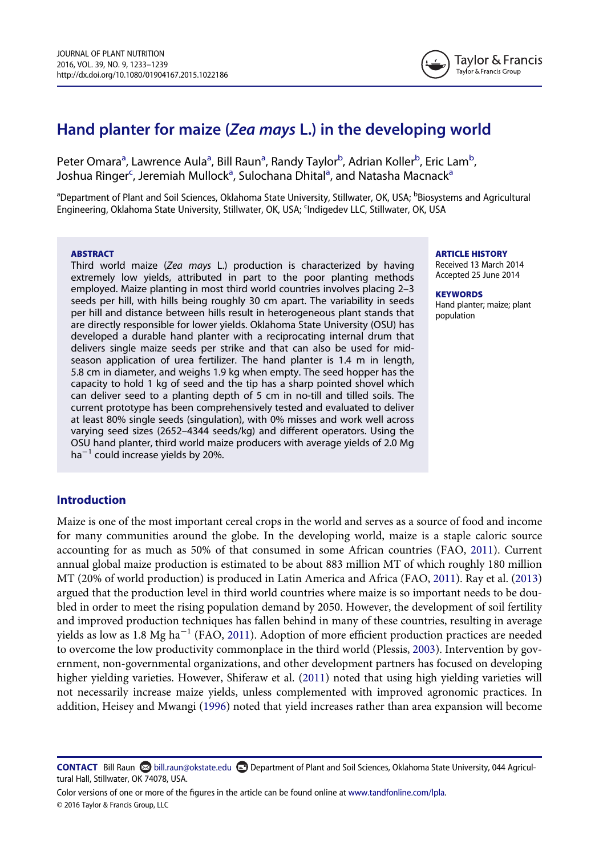

# Hand planter for maize (Zea mays L.) in the developing world

Peter Om[a](#page-1-0)ra<sup>a</sup>, Lawrence Aula<sup>a</sup>, Bill Raun<sup>a</sup>, Randy Taylor<sup>[b](#page-1-0)</sup>, Adrian Koller<sup>b</sup>, Eric Lam<sup>b</sup> , Joshu[a](#page-1-0) Ringer<sup>c</sup>, Jeremiah Mullock<sup>a</sup>, Sulochana Dhital<sup>a</sup>, and Natasha Macnack<sup>a</sup>

<span id="page-1-1"></span><span id="page-1-0"></span><sup>a</sup>Department of Plant and Soil Sciences, Oklahoma State University, Stillwater, OK, USA; <sup>b</sup>Biosystems and Agricultural Engineering, Oklahoma State University, Stillwater, OK, USA; <sup>c</sup>Indigedev LLC, Stillwater, OK, USA

#### **ABSTRACT**

Third world maize (Zea mays L.) production is characterized by having extremely low yields, attributed in part to the poor planting methods employed. Maize planting in most third world countries involves placing 2–3 seeds per hill, with hills being roughly 30 cm apart. The variability in seeds per hill and distance between hills result in heterogeneous plant stands that are directly responsible for lower yields. Oklahoma State University (OSU) has developed a durable hand planter with a reciprocating internal drum that delivers single maize seeds per strike and that can also be used for midseason application of urea fertilizer. The hand planter is 1.4 m in length, 5.8 cm in diameter, and weighs 1.9 kg when empty. The seed hopper has the capacity to hold 1 kg of seed and the tip has a sharp pointed shovel which can deliver seed to a planting depth of 5 cm in no-till and tilled soils. The current prototype has been comprehensively tested and evaluated to deliver at least 80% single seeds (singulation), with 0% misses and work well across varying seed sizes (2652–4344 seeds/kg) and different operators. Using the OSU hand planter, third world maize producers with average yields of 2.0 Mg  $ha^{-1}$  could increase yields by 20%.

#### ARTICLE HISTORY

Received 13 March 2014 Accepted 25 June 2014

#### **KEYWORDS** Hand planter; maize; plant population

# Introduction

Maize is one of the most important cereal crops in the world and serves as a source of food and income for many communities around the globe. In the developing world, maize is a staple caloric source accounting for as much as 50% of that consumed in some African countries (FAO, [2011](#page-7-0)). Current annual global maize production is estimated to be about 883 million MT of which roughly 180 million MT (20% of world production) is produced in Latin America and Africa (FAO, [2011\)](#page-7-0). Ray et al. ([2013\)](#page-7-1) argued that the production level in third world countries where maize is so important needs to be doubled in order to meet the rising population demand by 2050. However, the development of soil fertility and improved production techniques has fallen behind in many of these countries, resulting in average yields as low as  $1.8 \text{ Mg ha}^{-1}$  (FAO, [2011](#page-7-0)). Adoption of more efficient production practices are needed to overcome the low productivity commonplace in the third world (Plessis, [2003](#page-7-2)). Intervention by government, non-governmental organizations, and other development partners has focused on developing higher yielding varieties. However, Shiferaw et al. ([2011\)](#page-7-3) noted that using high yielding varieties will not necessarily increase maize yields, unless complemented with improved agronomic practices. In addition, Heisey and Mwangi [\(1996](#page-7-4)) noted that yield increases rather than area expansion will become

CONTACT Bill Raun bill.raun@okstate.edu Department of Plant and Soil Sciences, Oklahoma State University, 044 Agricultural Hall, Stillwater, OK 74078, USA.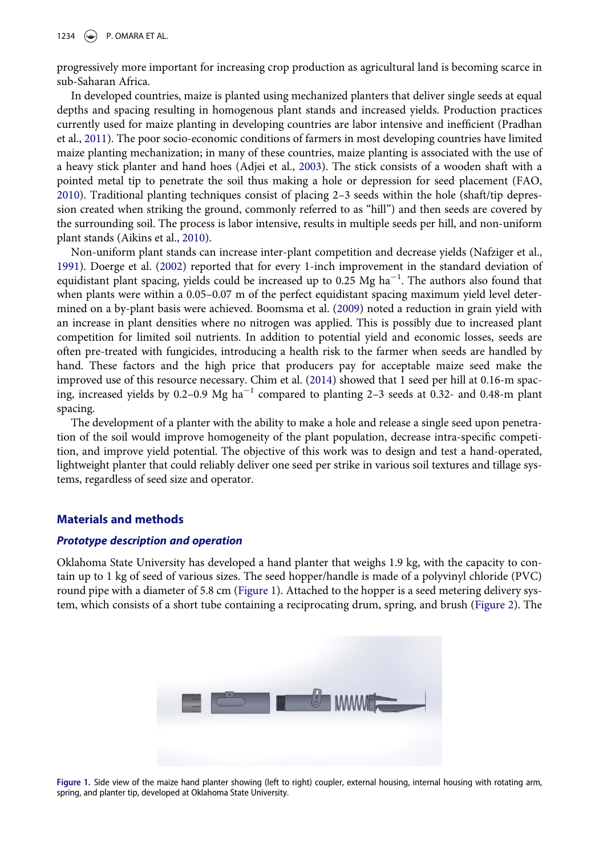1234  $\Rightarrow$  P. OMARA ET AL.

progressively more important for increasing crop production as agricultural land is becoming scarce in sub-Saharan Africa.

In developed countries, maize is planted using mechanized planters that deliver single seeds at equal depths and spacing resulting in homogenous plant stands and increased yields. Production practices currently used for maize planting in developing countries are labor intensive and inefficient (Pradhan et al., [2011](#page-7-5)). The poor socio-economic conditions of farmers in most developing countries have limited maize planting mechanization; in many of these countries, maize planting is associated with the use of a heavy stick planter and hand hoes (Adjei et al., [2003\)](#page-6-0). The stick consists of a wooden shaft with a pointed metal tip to penetrate the soil thus making a hole or depression for seed placement (FAO, [2010\)](#page-7-6). Traditional planting techniques consist of placing 2–3 seeds within the hole (shaft/tip depression created when striking the ground, commonly referred to as "hill") and then seeds are covered by the surrounding soil. The process is labor intensive, results in multiple seeds per hill, and non-uniform plant stands (Aikins et al., [2010](#page-6-1)).

Non-uniform plant stands can increase inter-plant competition and decrease yields (Nafziger et al., [1991\)](#page-7-7). Doerge et al. [\(2002\)](#page-7-8) reported that for every 1-inch improvement in the standard deviation of equidistant plant spacing, yields could be increased up to 0.25 Mg ha<sup>-1</sup>. The authors also found that when plants were within a 0.05–0.07 m of the perfect equidistant spacing maximum yield level determined on a by-plant basis were achieved. Boomsma et al. ([2009\)](#page-6-2) noted a reduction in grain yield with an increase in plant densities where no nitrogen was applied. This is possibly due to increased plant competition for limited soil nutrients. In addition to potential yield and economic losses, seeds are often pre-treated with fungicides, introducing a health risk to the farmer when seeds are handled by hand. These factors and the high price that producers pay for acceptable maize seed make the improved use of this resource necessary. Chim et al. ([2014\)](#page-6-3) showed that 1 seed per hill at 0.16-m spacing, increased yields by 0.2–0.9 Mg ha<sup> $-1$ </sup> compared to planting 2–3 seeds at 0.32- and 0.48-m plant spacing.

The development of a planter with the ability to make a hole and release a single seed upon penetration of the soil would improve homogeneity of the plant population, decrease intra-specific competition, and improve yield potential. The objective of this work was to design and test a hand-operated, lightweight planter that could reliably deliver one seed per strike in various soil textures and tillage systems, regardless of seed size and operator.

# Materials and methods

# Prototype description and operation

Oklahoma State University has developed a hand planter that weighs 1.9 kg, with the capacity to contain up to 1 kg of seed of various sizes. The seed hopper/handle is made of a polyvinyl chloride (PVC) round pipe with a diameter of 5.8 cm [\(Figure 1\)](#page-2-0). Attached to the hopper is a seed metering delivery system, which consists of a short tube containing a reciprocating drum, spring, and brush ([Figure 2](#page-3-0)). The

<span id="page-2-0"></span>

Figure 1. Side view of the maize hand planter showing (left to right) coupler, external housing, internal housing with rotating arm, spring, and planter tip, developed at Oklahoma State University.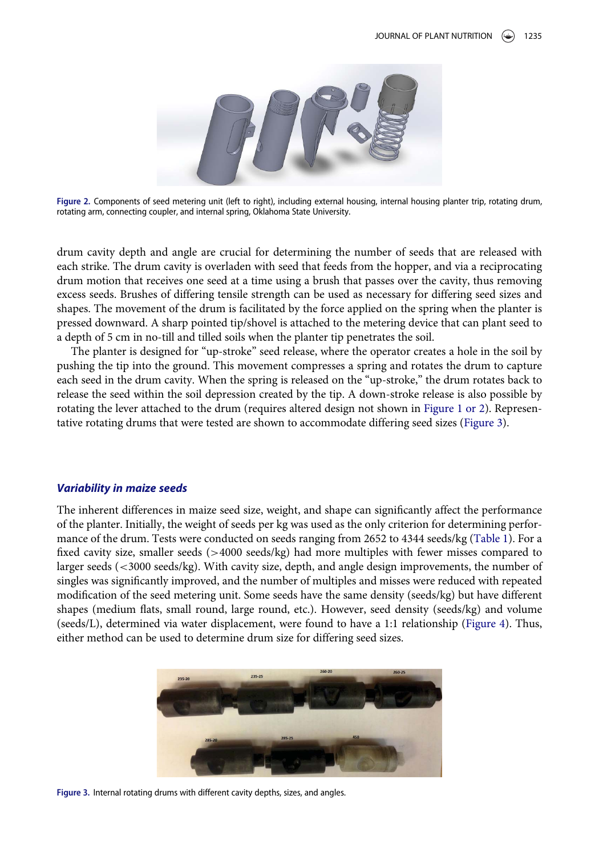<span id="page-3-0"></span>

Figure 2. Components of seed metering unit (left to right), including external housing, internal housing planter trip, rotating drum, rotating arm, connecting coupler, and internal spring, Oklahoma State University.

drum cavity depth and angle are crucial for determining the number of seeds that are released with each strike. The drum cavity is overladen with seed that feeds from the hopper, and via a reciprocating drum motion that receives one seed at a time using a brush that passes over the cavity, thus removing excess seeds. Brushes of differing tensile strength can be used as necessary for differing seed sizes and shapes. The movement of the drum is facilitated by the force applied on the spring when the planter is pressed downward. A sharp pointed tip/shovel is attached to the metering device that can plant seed to a depth of 5 cm in no-till and tilled soils when the planter tip penetrates the soil.

The planter is designed for "up-stroke" seed release, where the operator creates a hole in the soil by pushing the tip into the ground. This movement compresses a spring and rotates the drum to capture each seed in the drum cavity. When the spring is released on the "up-stroke," the drum rotates back to release the seed within the soil depression created by the tip. A down-stroke release is also possible by rotating the lever attached to the drum (requires altered design not shown in Figure 1 or 2). Representative rotating drums that were tested are shown to accommodate differing seed sizes [\(Figure 3\)](#page-3-1).

#### Variability in maize seeds

The inherent differences in maize seed size, weight, and shape can significantly affect the performance of the planter. Initially, the weight of seeds per kg was used as the only criterion for determining performance of the drum. Tests were conducted on seeds ranging from 2652 to 4344 seeds/kg [\(Table 1\)](#page-4-0). For a fixed cavity size, smaller seeds (>4000 seeds/kg) had more multiples with fewer misses compared to larger seeds (<3000 seeds/kg). With cavity size, depth, and angle design improvements, the number of singles was significantly improved, and the number of multiples and misses were reduced with repeated modification of the seed metering unit. Some seeds have the same density (seeds/kg) but have different shapes (medium flats, small round, large round, etc.). However, seed density (seeds/kg) and volume (seeds/L), determined via water displacement, were found to have a 1:1 relationship ([Figure 4](#page-4-1)). Thus, either method can be used to determine drum size for differing seed sizes.

<span id="page-3-1"></span>

Figure 3. Internal rotating drums with different cavity depths, sizes, and angles.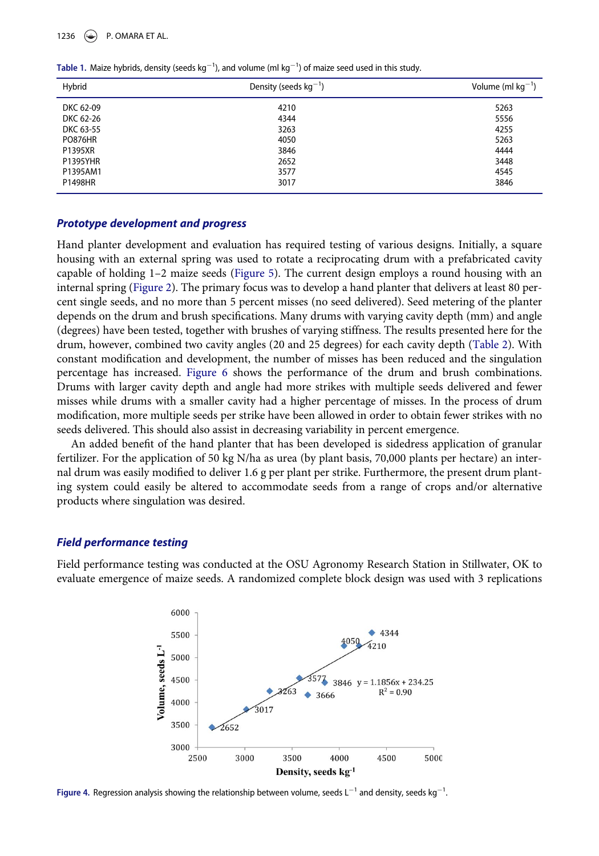1236  $\left(\bigstar\right)$  P. OMARA ET AL.

| Hybrid          | Density (seeds $kg^{-1}$ ) | Volume (ml $kg^{-1}$ ) |
|-----------------|----------------------------|------------------------|
| DKC 62-09       | 4210                       | 5263                   |
| DKC 62-26       | 4344                       | 5556                   |
| DKC 63-55       | 3263                       | 4255                   |
| <b>PO876HR</b>  | 4050                       | 5263                   |
| P1395XR         | 3846                       | 4444                   |
| <b>P1395YHR</b> | 2652                       | 3448                   |
| P1395AM1        | 3577                       | 4545                   |
| P1498HR         | 3017                       | 3846                   |

<span id="page-4-0"></span>Table 1. Maize hybrids, density (seeds kg¡<sup>1</sup> ), and volume (ml kg¡<sup>1</sup> ) of maize seed used in this study.

# Prototype development and progress

Hand planter development and evaluation has required testing of various designs. Initially, a square housing with an external spring was used to rotate a reciprocating drum with a prefabricated cavity capable of holding 1–2 maize seeds [\(Figure 5\)](#page-5-0). The current design employs a round housing with an internal spring ([Figure 2](#page-3-0)). The primary focus was to develop a hand planter that delivers at least 80 percent single seeds, and no more than 5 percent misses (no seed delivered). Seed metering of the planter depends on the drum and brush specifications. Many drums with varying cavity depth (mm) and angle (degrees) have been tested, together with brushes of varying stiffness. The results presented here for the drum, however, combined two cavity angles (20 and 25 degrees) for each cavity depth ([Table 2](#page-5-1)). With constant modification and development, the number of misses has been reduced and the singulation percentage has increased. [Figure 6](#page-5-2) shows the performance of the drum and brush combinations. Drums with larger cavity depth and angle had more strikes with multiple seeds delivered and fewer misses while drums with a smaller cavity had a higher percentage of misses. In the process of drum modification, more multiple seeds per strike have been allowed in order to obtain fewer strikes with no seeds delivered. This should also assist in decreasing variability in percent emergence.

An added benefit of the hand planter that has been developed is sidedress application of granular fertilizer. For the application of 50 kg N/ha as urea (by plant basis, 70,000 plants per hectare) an internal drum was easily modified to deliver 1.6 g per plant per strike. Furthermore, the present drum planting system could easily be altered to accommodate seeds from a range of crops and/or alternative products where singulation was desired.

#### Field performance testing

<span id="page-4-1"></span>Field performance testing was conducted at the OSU Agronomy Research Station in Stillwater, OK to evaluate emergence of maize seeds. A randomized complete block design was used with 3 replications



Figure 4. Regression analysis showing the relationship between volume, seeds  $L^{-1}$  and density, seeds kg<sup>-1</sup>. .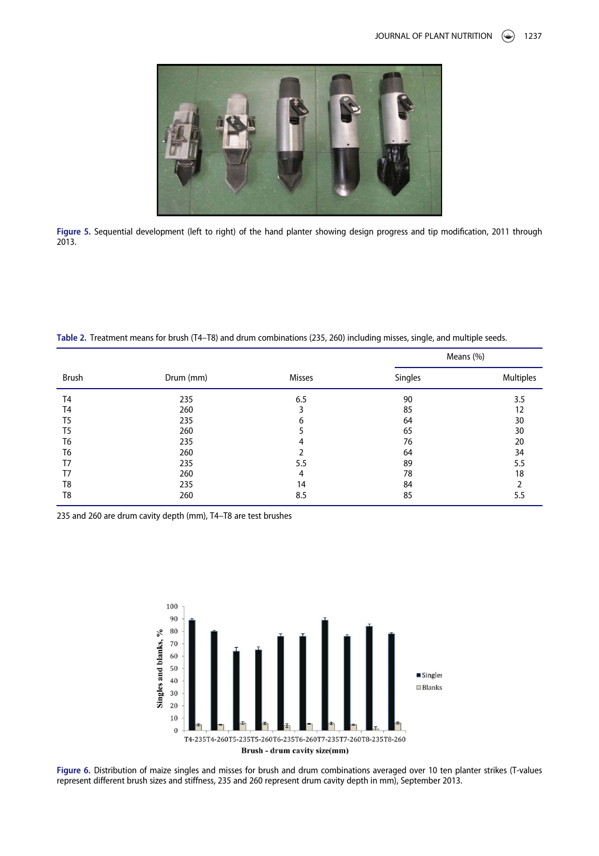<span id="page-5-0"></span>

Figure 5. Sequential development (left to right) of the hand planter showing design progress and tip modification, 2011 through 2013.

Table 2. Treatment means for brush (T4–T8) and drum combinations (235, 260) including misses, single, and multiple seeds.

|                |           |        | Means (%) |                  |
|----------------|-----------|--------|-----------|------------------|
| Brush          | Drum (mm) | Misses | Singles   | <b>Multiples</b> |
| T <sub>4</sub> | 235       | 6.5    | 90        | 3.5              |
| T <sub>4</sub> | 260       | 3      | 85        | 12               |
| T <sub>5</sub> | 235       | 6      | 64        | 30               |
| T <sub>5</sub> | 260       | 5      | 65        | 30               |
| T6             | 235       | 4      | 76        | 20               |
| T6             | 260       |        | 64        | 34               |
| T7             | 235       | 5.5    | 89        | 5.5              |
| T7             | 260       | 4      | 78        | 18               |
| T8             | 235       | 14     | 84        |                  |
| T <sub>8</sub> | 260       | 8.5    | 85        | 5.5              |

<span id="page-5-2"></span><span id="page-5-1"></span>235 and 260 are drum cavity depth (mm), T4–T8 are test brushes



Figure 6. Distribution of maize singles and misses for brush and drum combinations averaged over 10 ten planter strikes (T-values represent different brush sizes and stiffness, 235 and 260 represent drum cavity depth in mm), September 2013.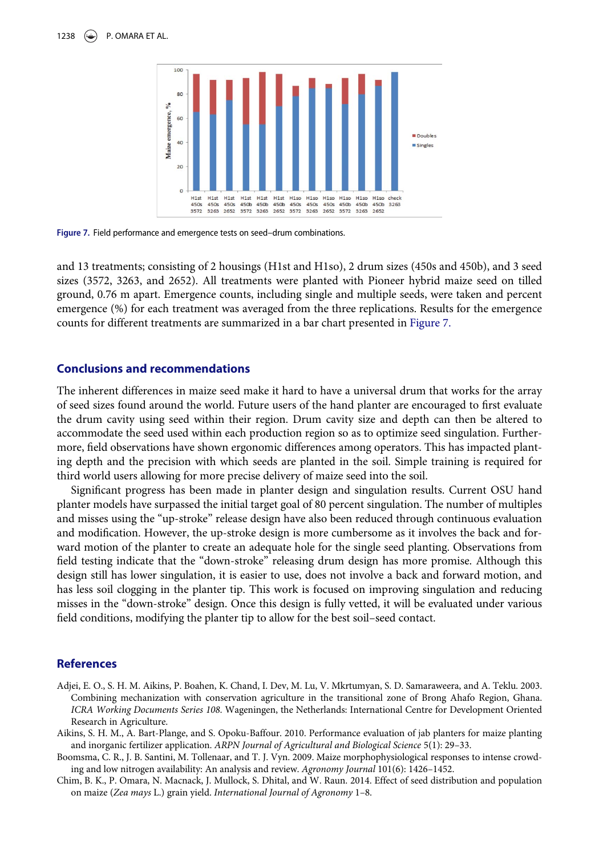

Figure 7. Field performance and emergence tests on seed–drum combinations.

and 13 treatments; consisting of 2 housings (H1st and H1so), 2 drum sizes (450s and 450b), and 3 seed sizes (3572, 3263, and 2652). All treatments were planted with Pioneer hybrid maize seed on tilled ground, 0.76 m apart. Emergence counts, including single and multiple seeds, were taken and percent emergence (%) for each treatment was averaged from the three replications. Results for the emergence counts for different treatments are summarized in a bar chart presented in [Figure 7.](#page-6-4)

### Conclusions and recommendations

The inherent differences in maize seed make it hard to have a universal drum that works for the array of seed sizes found around the world. Future users of the hand planter are encouraged to first evaluate the drum cavity using seed within their region. Drum cavity size and depth can then be altered to accommodate the seed used within each production region so as to optimize seed singulation. Furthermore, field observations have shown ergonomic differences among operators. This has impacted planting depth and the precision with which seeds are planted in the soil. Simple training is required for third world users allowing for more precise delivery of maize seed into the soil.

Significant progress has been made in planter design and singulation results. Current OSU hand planter models have surpassed the initial target goal of 80 percent singulation. The number of multiples and misses using the "up-stroke" release design have also been reduced through continuous evaluation and modification. However, the up-stroke design is more cumbersome as it involves the back and forward motion of the planter to create an adequate hole for the single seed planting. Observations from field testing indicate that the "down-stroke" releasing drum design has more promise. Although this design still has lower singulation, it is easier to use, does not involve a back and forward motion, and has less soil clogging in the planter tip. This work is focused on improving singulation and reducing misses in the "down-stroke" design. Once this design is fully vetted, it will be evaluated under various field conditions, modifying the planter tip to allow for the best soil–seed contact.

#### References

- <span id="page-6-0"></span>Adjei, E. O., S. H. M. Aikins, P. Boahen, K. Chand, I. Dev, M. Lu, V. Mkrtumyan, S. D. Samaraweera, and A. Teklu. 2003. Combining mechanization with conservation agriculture in the transitional zone of Brong Ahafo Region, Ghana. ICRA Working Documents Series 108. Wageningen, the Netherlands: International Centre for Development Oriented Research in Agriculture.
- <span id="page-6-1"></span>Aikins, S. H. M., A. Bart-Plange, and S. Opoku-Baffour. 2010. Performance evaluation of jab planters for maize planting and inorganic fertilizer application. ARPN Journal of Agricultural and Biological Science 5(1): 29–33.
- <span id="page-6-2"></span>Boomsma, C. R., J. B. Santini, M. Tollenaar, and T. J. Vyn. 2009. Maize morphophysiological responses to intense crowding and low nitrogen availability: An analysis and review. Agronomy Journal 101(6): 1426–1452.
- <span id="page-6-3"></span>Chim, B. K., P. Omara, N. Macnack, J. Mullock, S. Dhital, and W. Raun. 2014. Effect of seed distribution and population on maize (Zea mays L.) grain yield. International Journal of Agronomy 1–8.

<span id="page-6-4"></span>